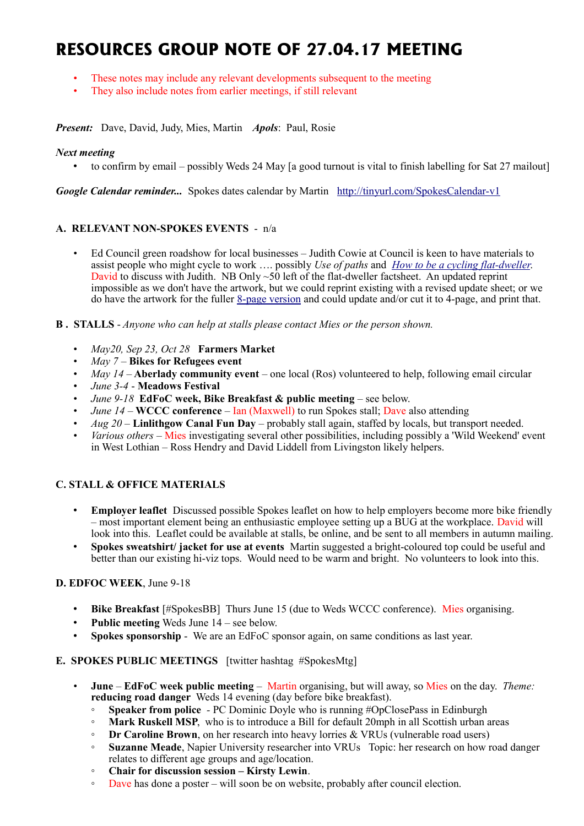# **RESOURCES GROUP NOTE OF 27.04.17 MEETING**

- These notes may include any relevant developments subsequent to the meeting
- They also include notes from earlier meetings, if still relevant

*Present:* Dave, David, Judy, Mies, Martin *Apols*: Paul, Rosie

#### *Next meeting*

• to confirm by email – possibly Weds 24 May [a good turnout is vital to finish labelling for Sat 27 mailout]

*Google Calendar reminder...* Spokes dates calendar by Martin <http://tinyurl.com/SpokesCalendar-v1>

#### **A. RELEVANT NON-SPOKES EVENTS** - n/a

• Ed Council green roadshow for local businesses – Judith Cowie at Council is keen to have materials to assist people who might cycle to work …. possibly *Use of paths* and *[How to be a cycling flat-dweller](http://www.spokes.org.uk/wp-content/uploads/2010/06/Printed-final-Spokes-BikeStorageProject-PRF5.pdf)*. David to discuss with Judith. NB Only  $\sim$  50 left of the flat-dweller factsheet. An updated reprint impossible as we don't have the artwork, but we could reprint existing with a revised update sheet; or we do have the artwork for the fuller [8-page version](http://www.spokes.org.uk/wordpress/wp-content/uploads/2010/06/Fact-sheet-v10-231210.pdf) and could update and/or cut it to 4-page, and print that.

**B . STALLS** - *Anyone who can help at stalls please contact Mies or the person shown.*

- *May20, Sep 23, Oct 28* **Farmers Market**
- *May 7* **Bikes for Refugees event**
- *May 14 –* **Aberlady community event** one local (Ros) volunteered to help, following email circular
- *June 3-4* **Meadows Festival**
- *June 9-18* **EdFoC week, Bike Breakfast & public meeting**  see below.
- *June 14* **WCCC conference** Ian (Maxwell) to run Spokes stall; Dave also attending
- *Aug 20* **Linlithgow Canal Fun Day** probably stall again, staffed by locals, but transport needed.
- *Various others* Mies investigating several other possibilities, including possibly a 'Wild Weekend' event in West Lothian – Ross Hendry and David Liddell from Livingston likely helpers.

## **C. STALL & OFFICE MATERIALS**

- **Employer leaflet** Discussed possible Spokes leaflet on how to help employers become more bike friendly – most important element being an enthusiastic employee setting up a BUG at the workplace. David will look into this. Leaflet could be available at stalls, be online, and be sent to all members in autumn mailing.
- **Spokes sweatshirt/ jacket for use at events** Martin suggested a bright-coloured top could be useful and better than our existing hi-viz tops. Would need to be warm and bright. No volunteers to look into this.

## **D. EDFOC WEEK**, June 9-18

- **Bike Breakfast** [#SpokesBB] Thurs June 15 (due to Weds WCCC conference). Mies organising.
- **Public meeting** Weds June 14 see below.
- **Spokes sponsorship** We are an EdFoC sponsor again, on same conditions as last year.

#### **E. SPOKES PUBLIC MEETINGS** [twitter hashtag #SpokesMtg]

- **June EdFoC week public meeting** Martin organising, but will away, so Mies on the day. *Theme:*  **reducing road danger** Weds 14 evening (day before bike breakfast).
	- **Speaker from police** *-* PC Dominic Doyle who is running #OpClosePass in Edinburgh
	- **Mark Ruskell MSP**, who is to introduce a Bill for default 20mph in all Scottish urban areas
	- **Dr Caroline Brown**, on her research into heavy lorries & VRUs (vulnerable road users)
	- **Suzanne Meade**, Napier University researcher into VRUs Topic: her research on how road danger relates to different age groups and age/location.
	- **Chair for discussion session Kirsty Lewin**.
	- Dave has done a poster will soon be on website, probably after council election.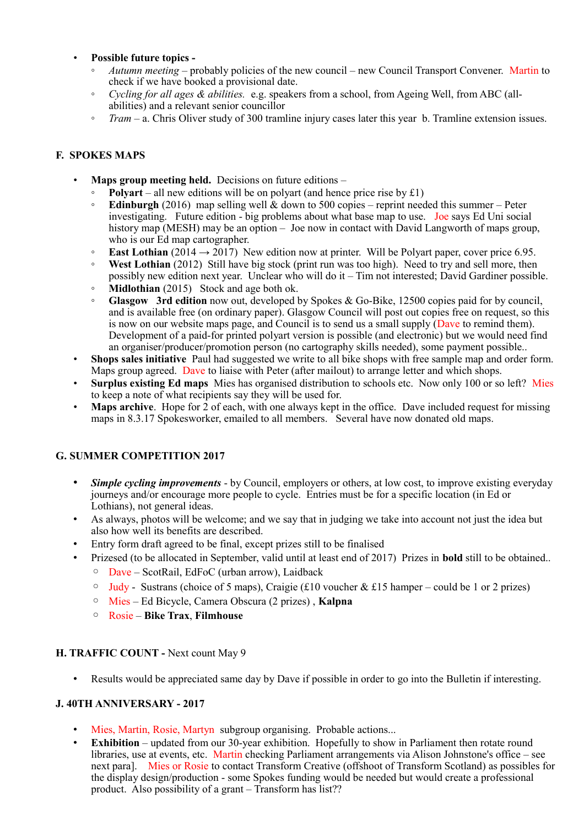## • **Possible future topics -**

- *Autumn meeting* probably policies of the new council new Council Transport Convener. Martin to check if we have booked a provisional date.
- *Cycling for all ages & abilities.* e.g. speakers from a school, from Ageing Well, from ABC (allabilities) and a relevant senior councillor
- *Tram* a. Chris Oliver study of 300 tramline injury cases later this year b. Tramline extension issues.

## **F. SPOKES MAPS**

- **Maps group meeting held.** Decisions on future editions
	- **Polyart** all new editions will be on polyart (and hence price rise by £1)
	- **Edinburgh** (2016) map selling well & down to 500 copies reprint needed this summer Peter investigating. Future edition - big problems about what base map to use. Joe says Ed Uni social history map (MESH) may be an option – Joe now in contact with David Langworth of maps group, who is our Ed map cartographer.
	- **East Lothian** (2014  $\rightarrow$  2017) New edition now at printer. Will be Polyart paper, cover price 6.95.
	- **West Lothian** (2012) Still have big stock (print run was too high). Need to try and sell more, then possibly new edition next year. Unclear who will do it – Tim not interested; David Gardiner possible.
	- **Midlothian** (2015) Stock and age both ok.
	- **Glasgow 3rd edition** now out, developed by Spokes & Go-Bike, 12500 copies paid for by council, and is available free (on ordinary paper). Glasgow Council will post out copies free on request, so this is now on our website maps page, and Council is to send us a small supply (Dave to remind them). Development of a paid-for printed polyart version is possible (and electronic) but we would need find an organiser/producer/promotion person (no cartography skills needed), some payment possible..
- **Shops sales initiative** Paul had suggested we write to all bike shops with free sample map and order form. Maps group agreed. Dave to liaise with Peter (after mailout) to arrange letter and which shops.
- **Surplus existing Ed maps** Mies has organised distribution to schools etc. Now only 100 or so left? Mies to keep a note of what recipients say they will be used for.
- **Maps archive**. Hope for 2 of each, with one always kept in the office. Dave included request for missing maps in 8.3.17 Spokesworker, emailed to all members. Several have now donated old maps.

## **G. SUMMER COMPETITION 2017**

- *Simple cycling improvements* by Council, employers or others, at low cost, to improve existing everyday journeys and/or encourage more people to cycle. Entries must be for a specific location (in Ed or Lothians), not general ideas.
- As always, photos will be welcome; and we say that in judging we take into account not just the idea but also how well its benefits are described.
- Entry form draft agreed to be final, except prizes still to be finalised
- Prizesed (to be allocated in September, valid until at least end of 2017) Prizes in **bold** still to be obtained..
	- Dave ScotRail, EdFoC (urban arrow), Laidback
	- $\circ$  Judy Sustrans (choice of 5 maps), Craigie (£10 voucher & £15 hamper could be 1 or 2 prizes)
	- Mies Ed Bicycle, Camera Obscura (2 prizes) , **Kalpna**
	- Rosie **Bike Trax**, **Filmhouse**

## **H. TRAFFIC COUNT -** Next count May 9

Results would be appreciated same day by Dave if possible in order to go into the Bulletin if interesting.

## **J. 40TH ANNIVERSARY - 2017**

- Mies, Martin, Rosie, Martyn subgroup organising. Probable actions...
- **Exhibition** updated from our 30-year exhibition. Hopefully to show in Parliament then rotate round libraries, use at events, etc. Martin checking Parliament arrangements via Alison Johnstone's office – see next para]. Mies or Rosie to contact Transform Creative (offshoot of Transform Scotland) as possibles for the display design/production - some Spokes funding would be needed but would create a professional product. Also possibility of a grant – Transform has list??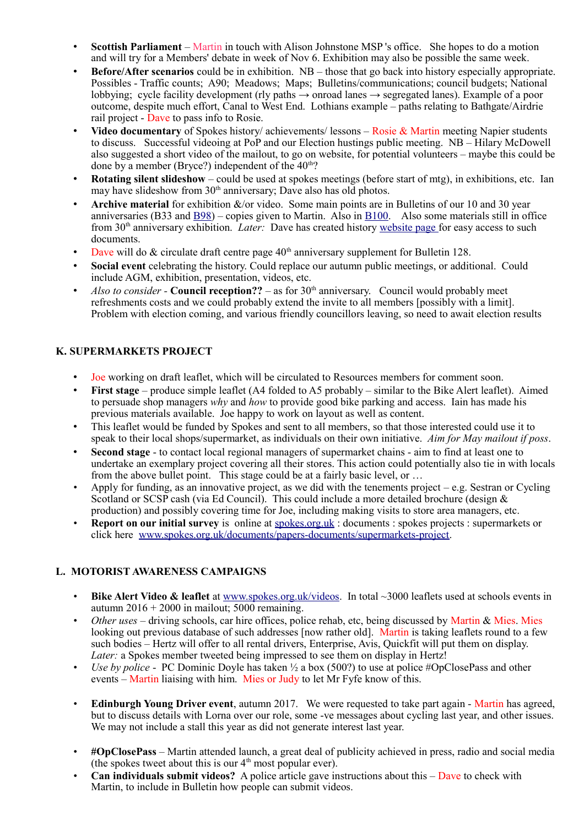- **Scottish Parliament**  Martin in touch with Alison Johnstone MSP 's office. She hopes to do a motion and will try for a Members' debate in week of Nov 6. Exhibition may also be possible the same week.
- **Before/After scenarios** could be in exhibition. NB those that go back into history especially appropriate. Possibles - Traffic counts; A90; Meadows; Maps; Bulletins/communications; council budgets; National lobbying; cycle facility development (rly paths → onroad lanes → segregated lanes). Example of a poor outcome, despite much effort, Canal to West End. Lothians example – paths relating to Bathgate/Airdrie rail project - Dave to pass info to Rosie.
- **Video documentary** of Spokes history/ achievements/ lessons Rosie & Martin meeting Napier students to discuss. Successful videoing at PoP and our Election hustings public meeting. NB – Hilary McDowell also suggested a short video of the mailout, to go on website, for potential volunteers – maybe this could be done by a member (Bryce?) independent of the  $40<sup>th</sup>$ ?
- **Rotating silent slideshow** could be used at spokes meetings (before start of mtg), in exhibitions, etc. Ian may have slideshow from 30<sup>th</sup> anniversary; Dave also has old photos.
- **Archive material** for exhibition &/or video. Some main points are in Bulletins of our 10 and 30 year anniversaries (B33 and  $\underline{B98}$ ) – copies given to Martin. Also in  $\underline{B100}$ . Also some materials still in office from 30th anniversary exhibition. *Later:* Dave has created history [website page f](http://www.spokes.org.uk/documents/odds-and-ends-may-be-exciting/spokes-history/)or easy access to such documents.
- Dave will do  $&$  circulate draft centre page  $40<sup>th</sup>$  anniversary supplement for Bulletin 128.
- **Social event** celebrating the history. Could replace our autumn public meetings, or additional. Could include AGM, exhibition, presentation, videos, etc.
- *Also to consider* **Council reception??** as for  $30<sup>th</sup>$  anniversary. Council would probably meet refreshments costs and we could probably extend the invite to all members [possibly with a limit]. Problem with election coming, and various friendly councillors leaving, so need to await election results

## **K. SUPERMARKETS PROJECT**

- Joe working on draft leaflet, which will be circulated to Resources members for comment soon.
- **First stage** produce simple leaflet (A4 folded to A5 probably similar to the Bike Alert leaflet). Aimed to persuade shop managers *why* and *how* to provide good bike parking and access. Iain has made his previous materials available. Joe happy to work on layout as well as content.
- This leaflet would be funded by Spokes and sent to all members, so that those interested could use it to speak to their local shops/supermarket, as individuals on their own initiative. *Aim for May mailout if poss*.
- **Second stage**  to contact local regional managers of supermarket chains aim to find at least one to undertake an exemplary project covering all their stores. This action could potentially also tie in with locals from the above bullet point. This stage could be at a fairly basic level, or ...
- Apply for funding, as an innovative project, as we did with the tenements project  $-e.g.$  Sestran or Cycling Scotland or SCSP cash (via Ed Council). This could include a more detailed brochure (design & production) and possibly covering time for Joe, including making visits to store area managers, etc.
- **Report on our initial survey** is online at [spokes.org.uk](http://spokes.org.uk/) : documents : spokes projects : supermarkets or click here [www.spokes.org.uk/documents/papers-documents/supermarkets-project.](http://www.spokes.org.uk/documents/papers-documents/supermarkets-project)

## **L. MOTORIST AWARENESS CAMPAIGNS**

- **Bike Alert Video & leaflet** at [www.spokes.org.uk/videos.](http://www.spokes.org.uk/videos) In total ~3000 leaflets used at schools events in autumn  $2016 + 2000$  in mailout; 5000 remaining.
- *Other uses* driving schools, car hire offices, police rehab, etc, being discussed by Martin & Mies. Mies looking out previous database of such addresses [now rather old]. Martin is taking leaflets round to a few such bodies – Hertz will offer to all rental drivers, Enterprise, Avis, Quickfit will put them on display. *Later:* a Spokes member tweeted being impressed to see them on display in Hertz!
- *Use by police* PC Dominic Doyle has taken ½ a box (500?) to use at police #OpClosePass and other events – Martin liaising with him. Mies or Judy to let Mr Fyfe know of this.
- **Edinburgh Young Driver event**, autumn 2017. We were requested to take part again Martin has agreed, but to discuss details with Lorna over our role, some -ve messages about cycling last year, and other issues. We may not include a stall this year as did not generate interest last year.
- **#OpClosePass** Martin attended launch, a great deal of publicity achieved in press, radio and social media (the spokes tweet about this is our  $4<sup>th</sup>$  most popular ever).
- **Can individuals submit videos?** A police article gave instructions about this Dave to check with Martin, to include in Bulletin how people can submit videos.